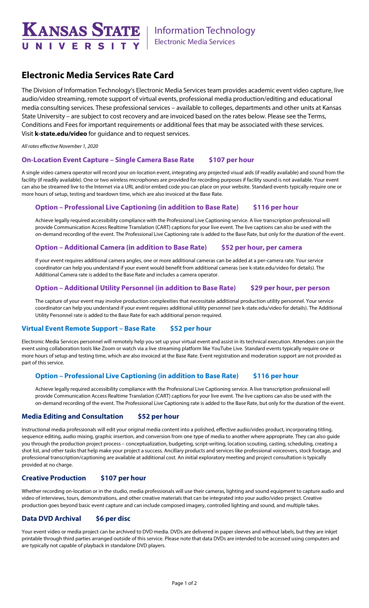

# **Electronic Media Services Rate Card**

The Division of Information Technology's Electronic Media Services team provides academic event video capture, live audio/video streaming, remote support of virtual events, professional media production/editing and educational media consulting services. These professional services – available to colleges, departments and other units at Kansas State University – are subject to cost recovery and are invoiced based on the rates below. Please see the Terms, Conditions and Fees for important requirements or additional fees that may be associated with these services. Visit **k-state.edu/video** for guidance and to request services.

*All rates effective November 1, 2020*

### **On-Location Event Capture – Single Camera Base Rate \$107 per hour**

A single video camera operator will record your on-location event, integrating any projected visual aids (if readily available) and sound from the facility (if readily available). One or two wireless microphones are provided for recording purposes if facility sound is not available. Your event can also be streamed live to the Internet via a URL and/or embed code you can place on your website. Standard events typically require one or more hours of setup, testing and teardown time, which are also invoiced at the Base Rate.

#### **Option – Professional Live Captioning (in addition to Base Rate) \$116 per hour**

Achieve legally required accessibility compliance with the Professional Live Captioning service. A live transcription professional will provide Communication Access Realtime Translation (CART) captions for your live event. The live captions can also be used with the on-demand recording of the event. The Professional Live Captioning rate is added to the Base Rate, but only for the duration of the event.

#### **Option – Additional Camera (in addition to Base Rate) \$52 per hour, per camera**

If your event requires additional camera angles, one or more additional cameras can be added at a per-camera rate. Your service coordinator can help you understand if your event would benefit from additional cameras (see k-state.edu/video for details). The Additional Camera rate is added to the Base Rate and includes a camera operator.

## **Option – Additional Utility Personnel (in addition to Base Rate) \$29 per hour, per person**

The capture of your event may involve production complexities that necessitate additional production utility personnel. Your service coordinator can help you understand if your event requires additional utility personnel (see k-state.edu/video for details). The Additional Utility Personnel rate is added to the Base Rate for each additional person required.

### **Virtual Event Remote Support – Base Rate \$52 per hour**

Electronic Media Services personnel will remotely help you set up your virtual event and assist in its technical execution. Attendees can join the event using collaboration tools like Zoom or watch via a live streaming platform like YouTube Live. Standard events typically require one or more hours of setup and testing time, which are also invoiced at the Base Rate. Event registration and moderation support are not provided as part of this service.

### **Option – Professional Live Captioning (in addition to Base Rate) \$116 per hour**

Achieve legally required accessibility compliance with the Professional Live Captioning service. A live transcription professional will provide Communication Access Realtime Translation (CART) captions for your live event. The live captions can also be used with the on-demand recording of the event. The Professional Live Captioning rate is added to the Base Rate, but only for the duration of the event.

### **Media Editing and Consultation \$52 per hour**

Instructional media professionals will edit your original media content into a polished, effective audio/video product, incorporating titling, sequence editing, audio mixing, graphic insertion, and conversion from one type of media to another where appropriate. They can also guide you through the production project process – conceptualization, budgeting, script-writing, location scouting, casting, scheduling, creating a shot list, and other tasks that help make your project a success. Ancillary products and services like professional voiceovers, stock footage, and professional transcription/captioning are available at additional cost. An initial exploratory meeting and project consultation is typically provided at no charge.

#### **Creative Production \$107 per hour**

Whether recording on-location or in the studio, media professionals will use their cameras, lighting and sound equipment to capture audio and video of interviews, tours, demonstrations, and other creative materials that can be integrated into your audio/video project. Creative production goes beyond basic event capture and can include composed imagery, controlled lighting and sound, and multiple takes.

### **Data DVD Archival \$6 per disc**

Your event video or media project can be archived to DVD media. DVDs are delivered in paper sleeves and without labels, but they are inkjet printable through third parties arranged outside of this service. Please note that data DVDs are intended to be accessed using computers and are typically not capable of playback in standalone DVD players.